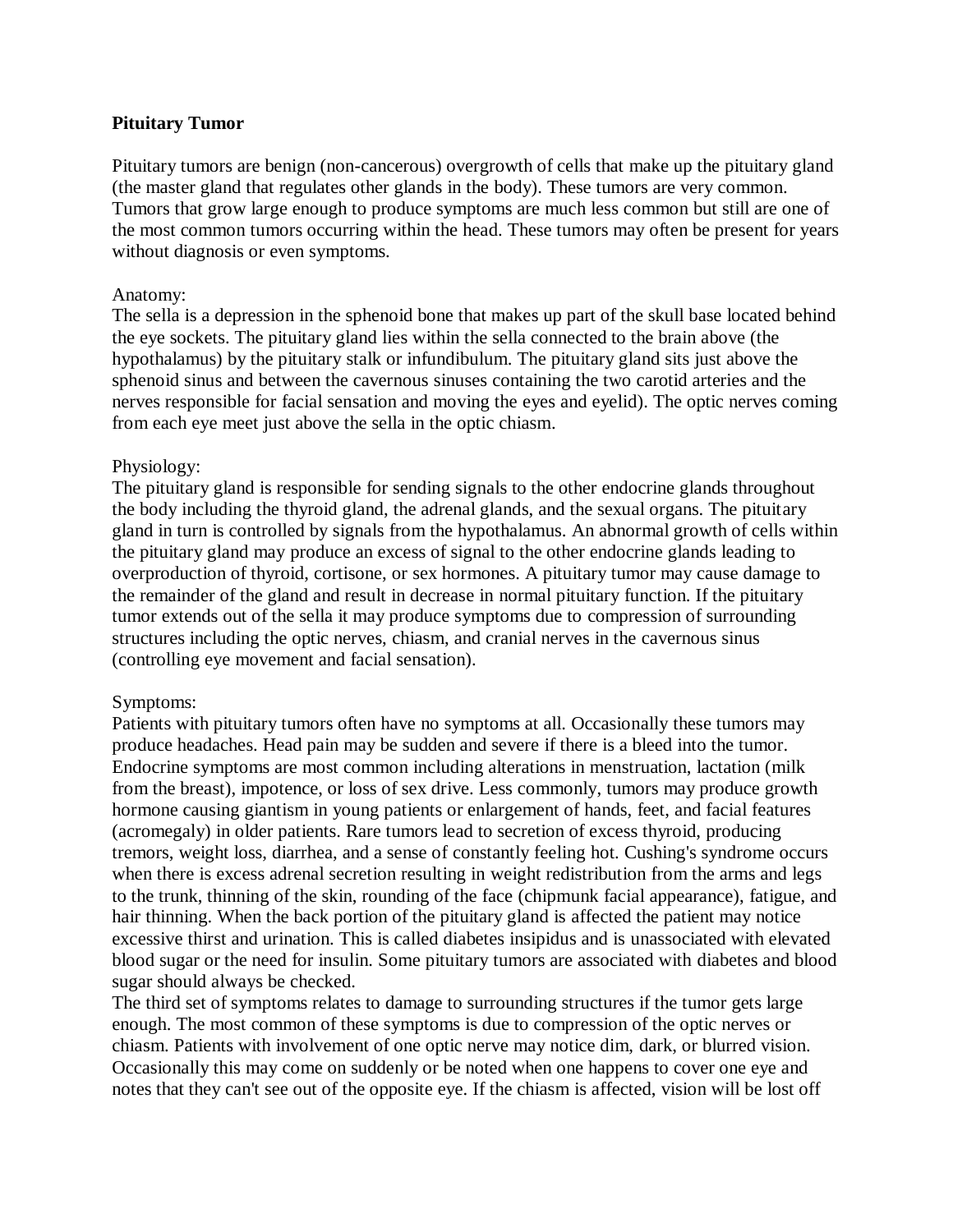# **Pituitary Tumor**

Pituitary tumors are benign (non-cancerous) overgrowth of cells that make up the pituitary gland (the master gland that regulates other glands in the body). These tumors are very common. Tumors that grow large enough to produce symptoms are much less common but still are one of the most common tumors occurring within the head. These tumors may often be present for years without diagnosis or even symptoms.

## Anatomy:

The sella is a depression in the sphenoid bone that makes up part of the skull base located behind the eye sockets. The pituitary gland lies within the sella connected to the brain above (the hypothalamus) by the pituitary stalk or infundibulum. The pituitary gland sits just above the sphenoid sinus and between the cavernous sinuses containing the two carotid arteries and the nerves responsible for facial sensation and moving the eyes and eyelid). The optic nerves coming from each eye meet just above the sella in the optic chiasm.

## Physiology:

The pituitary gland is responsible for sending signals to the other endocrine glands throughout the body including the thyroid gland, the adrenal glands, and the sexual organs. The pituitary gland in turn is controlled by signals from the hypothalamus. An abnormal growth of cells within the pituitary gland may produce an excess of signal to the other endocrine glands leading to overproduction of thyroid, cortisone, or sex hormones. A pituitary tumor may cause damage to the remainder of the gland and result in decrease in normal pituitary function. If the pituitary tumor extends out of the sella it may produce symptoms due to compression of surrounding structures including the optic nerves, chiasm, and cranial nerves in the cavernous sinus (controlling eye movement and facial sensation).

## Symptoms:

Patients with pituitary tumors often have no symptoms at all. Occasionally these tumors may produce headaches. Head pain may be sudden and severe if there is a bleed into the tumor. Endocrine symptoms are most common including alterations in menstruation, lactation (milk from the breast), impotence, or loss of sex drive. Less commonly, tumors may produce growth hormone causing giantism in young patients or enlargement of hands, feet, and facial features (acromegaly) in older patients. Rare tumors lead to secretion of excess thyroid, producing tremors, weight loss, diarrhea, and a sense of constantly feeling hot. Cushing's syndrome occurs when there is excess adrenal secretion resulting in weight redistribution from the arms and legs to the trunk, thinning of the skin, rounding of the face (chipmunk facial appearance), fatigue, and hair thinning. When the back portion of the pituitary gland is affected the patient may notice excessive thirst and urination. This is called diabetes insipidus and is unassociated with elevated blood sugar or the need for insulin. Some pituitary tumors are associated with diabetes and blood sugar should always be checked.

The third set of symptoms relates to damage to surrounding structures if the tumor gets large enough. The most common of these symptoms is due to compression of the optic nerves or chiasm. Patients with involvement of one optic nerve may notice dim, dark, or blurred vision. Occasionally this may come on suddenly or be noted when one happens to cover one eye and notes that they can't see out of the opposite eye. If the chiasm is affected, vision will be lost off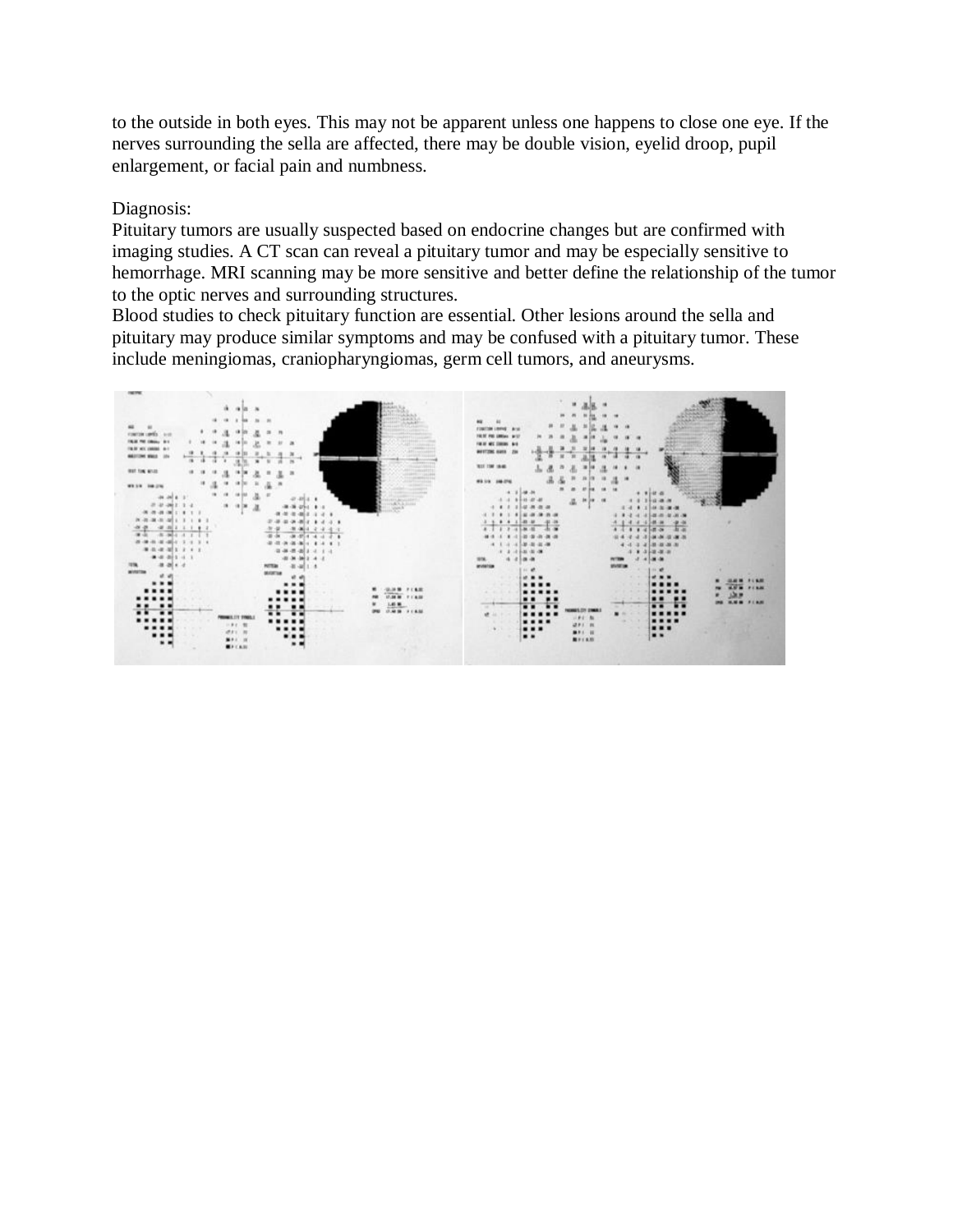to the outside in both eyes. This may not be apparent unless one happens to close one eye. If the nerves surrounding the sella are affected, there may be double vision, eyelid droop, pupil enlargement, or facial pain and numbness.

#### Diagnosis:

Pituitary tumors are usually suspected based on endocrine changes but are confirmed with imaging studies. A CT scan can reveal a pituitary tumor and may be especially sensitive to hemorrhage. MRI scanning may be more sensitive and better define the relationship of the tumor to the optic nerves and surrounding structures.

Blood studies to check pituitary function are essential. Other lesions around the sella and pituitary may produce similar symptoms and may be confused with a pituitary tumor. These include meningiomas, craniopharyngiomas, germ cell tumors, and aneurysms.